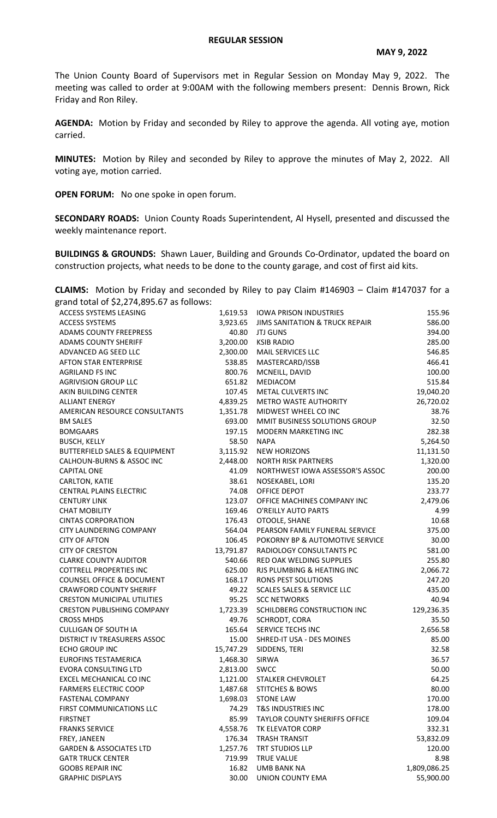## **REGULAR SESSION**

The Union County Board of Supervisors met in Regular Session on Monday May 9, 2022. The meeting was called to order at 9:00AM with the following members present: Dennis Brown, Rick Friday and Ron Riley.

**AGENDA:** Motion by Friday and seconded by Riley to approve the agenda. All voting aye, motion carried.

**MINUTES:** Motion by Riley and seconded by Riley to approve the minutes of May 2, 2022. All voting aye, motion carried.

**OPEN FORUM:** No one spoke in open forum.

**SECONDARY ROADS:** Union County Roads Superintendent, Al Hysell, presented and discussed the weekly maintenance report.

**BUILDINGS & GROUNDS:** Shawn Lauer, Building and Grounds Co-Ordinator, updated the board on construction projects, what needs to be done to the county garage, and cost of first aid kits.

**CLAIMS:** Motion by Friday and seconded by Riley to pay Claim #146903 – Claim #147037 for a grand total of \$2,274,895.67 as follows:

| $51$ and total or $72,27$ , $0000,07$ as follows. |                |                                           |              |
|---------------------------------------------------|----------------|-------------------------------------------|--------------|
| ACCESS SYSTEMS LEASING                            |                | 1,619.53 IOWA PRISON INDUSTRIES           | 155.96       |
| <b>ACCESS SYSTEMS</b>                             | 3,923.65       | <b>JIMS SANITATION &amp; TRUCK REPAIR</b> | 586.00       |
| <b>ADAMS COUNTY FREEPRESS</b>                     | 40.80          | <b>JTJ GUNS</b>                           | 394.00       |
| <b>ADAMS COUNTY SHERIFF</b>                       | 3,200.00       | <b>KSIB RADIO</b>                         | 285.00       |
| ADVANCED AG SEED LLC                              | 2,300.00       | <b>MAIL SERVICES LLC</b>                  | 546.85       |
| <b>AFTON STAR ENTERPRISE</b>                      | 538.85         | MASTERCARD/ISSB                           | 466.41       |
| <b>AGRILAND FS INC</b>                            | 800.76         | MCNEILL, DAVID                            | 100.00       |
| <b>AGRIVISION GROUP LLC</b>                       | 651.82         | MEDIACOM                                  | 515.84       |
| AKIN BUILDING CENTER                              | 107.45         | METAL CULVERTS INC                        | 19,040.20    |
| <b>ALLIANT ENERGY</b>                             | 4,839.25       | <b>METRO WASTE AUTHORITY</b>              | 26,720.02    |
| AMERICAN RESOURCE CONSULTANTS                     | 1,351.78       | MIDWEST WHEEL CO INC                      | 38.76        |
| <b>BM SALES</b>                                   | 693.00         | MMIT BUSINESS SOLUTIONS GROUP             | 32.50        |
| <b>BOMGAARS</b>                                   | 197.15         | MODERN MARKETING INC                      | 282.38       |
| <b>BUSCH, KELLY</b>                               | 58.50          | <b>NAPA</b>                               | 5,264.50     |
| <b>BUTTERFIELD SALES &amp; EQUIPMENT</b>          | 3,115.92       | <b>NEW HORIZONS</b>                       | 11,131.50    |
| CALHOUN-BURNS & ASSOC INC                         | 2,448.00       | <b>NORTH RISK PARTNERS</b>                | 1,320.00     |
| <b>CAPITAL ONE</b>                                | 41.09          | NORTHWEST IOWA ASSESSOR'S ASSOC           | 200.00       |
| CARLTON, KATIE                                    | 38.61          | NOSEKABEL, LORI                           | 135.20       |
| <b>CENTRAL PLAINS ELECTRIC</b>                    | 74.08          | OFFICE DEPOT                              | 233.77       |
| <b>CENTURY LINK</b>                               | 123.07         | OFFICE MACHINES COMPANY INC               | 2,479.06     |
| <b>CHAT MOBILITY</b>                              | 169.46         | O'REILLY AUTO PARTS                       | 4.99         |
| <b>CINTAS CORPORATION</b>                         | 176.43         | OTOOLE, SHANE                             | 10.68        |
| CITY LAUNDERING COMPANY                           | 564.04         | PEARSON FAMILY FUNERAL SERVICE            | 375.00       |
| <b>CITY OF AFTON</b>                              | 106.45         | POKORNY BP & AUTOMOTIVE SERVICE           | 30.00        |
| <b>CITY OF CRESTON</b>                            | 13,791.87      | RADIOLOGY CONSULTANTS PC                  | 581.00       |
| <b>CLARKE COUNTY AUDITOR</b>                      | 540.66         | RED OAK WELDING SUPPLIES                  | 255.80       |
| <b>COTTRELL PROPERTIES INC</b>                    | 625.00         | RJS PLUMBING & HEATING INC                | 2,066.72     |
| <b>COUNSEL OFFICE &amp; DOCUMENT</b>              | 168.17         | <b>RONS PEST SOLUTIONS</b>                | 247.20       |
| <b>CRAWFORD COUNTY SHERIFF</b>                    | 49.22          | <b>SCALES SALES &amp; SERVICE LLC</b>     | 435.00       |
| <b>CRESTON MUNICIPAL UTILITIES</b>                | 95.25          | <b>SCC NETWORKS</b>                       | 40.94        |
| <b>CRESTON PUBLISHING COMPANY</b>                 | 1,723.39       | SCHILDBERG CONSTRUCTION INC               | 129,236.35   |
| <b>CROSS MHDS</b>                                 | 49.76          | SCHRODT, CORA                             | 35.50        |
| <b>CULLIGAN OF SOUTH IA</b>                       | 165.64         | SERVICE TECHS INC                         | 2,656.58     |
| <b>DISTRICT IV TREASURERS ASSOC</b>               | 15.00          | SHRED-IT USA - DES MOINES                 | 85.00        |
| ECHO GROUP INC                                    |                | 15,747.29 SIDDENS, TERI                   | 32.58        |
| <b>EUROFINS TESTAMERICA</b>                       | 1,468.30 SIRWA |                                           | 36.57        |
| <b>EVORA CONSULTING LTD</b>                       | 2,813.00 SWCC  |                                           | 50.00        |
| <b>EXCEL MECHANICAL CO INC</b>                    | 1,121.00       | STALKER CHEVROLET                         | 64.25        |
| <b>FARMERS ELECTRIC COOP</b>                      | 1,487.68       | <b>STITCHES &amp; BOWS</b>                | 80.00        |
| <b>FASTENAL COMPANY</b>                           | 1,698.03       | <b>STONE LAW</b>                          | 170.00       |
| FIRST COMMUNICATIONS LLC                          | 74.29          | <b>T&amp;S INDUSTRIES INC</b>             | 178.00       |
| <b>FIRSTNET</b>                                   | 85.99          | <b>TAYLOR COUNTY SHERIFFS OFFICE</b>      | 109.04       |
| <b>FRANKS SERVICE</b>                             | 4,558.76       | TK ELEVATOR CORP                          | 332.31       |
| FREY, JANEEN                                      | 176.34         | <b>TRASH TRANSIT</b>                      | 53,832.09    |
| <b>GARDEN &amp; ASSOCIATES LTD</b>                | 1,257.76       | TRT STUDIOS LLP                           | 120.00       |
| <b>GATR TRUCK CENTER</b>                          | 719.99         | <b>TRUE VALUE</b>                         | 8.98         |
| <b>GOOBS REPAIR INC</b>                           | 16.82          | <b>UMB BANK NA</b>                        | 1,809,086.25 |
| <b>GRAPHIC DISPLAYS</b>                           | 30.00          | UNION COUNTY EMA                          | 55,900.00    |
|                                                   |                |                                           |              |